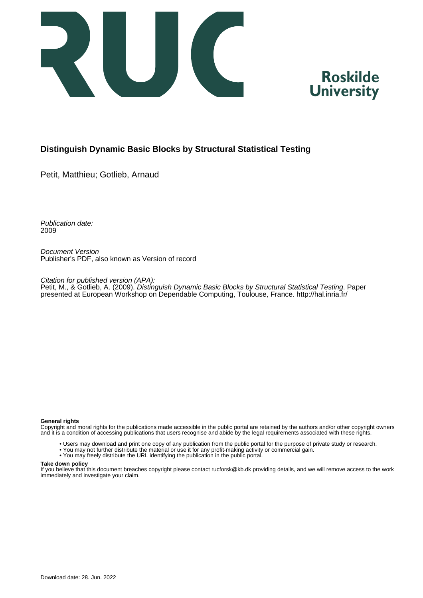



# **Distinguish Dynamic Basic Blocks by Structural Statistical Testing**

Petit, Matthieu; Gotlieb, Arnaud

Publication date: 2009

Document Version Publisher's PDF, also known as Version of record

Citation for published version (APA): Petit, M., & Gotlieb, A. (2009). Distinguish Dynamic Basic Blocks by Structural Statistical Testing. Paper presented at European Workshop on Dependable Computing, Toulouse, France.<http://hal.inria.fr/>

#### **General rights**

Copyright and moral rights for the publications made accessible in the public portal are retained by the authors and/or other copyright owners and it is a condition of accessing publications that users recognise and abide by the legal requirements associated with these rights.

- Users may download and print one copy of any publication from the public portal for the purpose of private study or research.
- You may not further distribute the material or use it for any profit-making activity or commercial gain.
- You may freely distribute the URL identifying the publication in the public portal.

#### **Take down policy**

If you believe that this document breaches copyright please contact rucforsk@kb.dk providing details, and we will remove access to the work immediately and investigate your claim.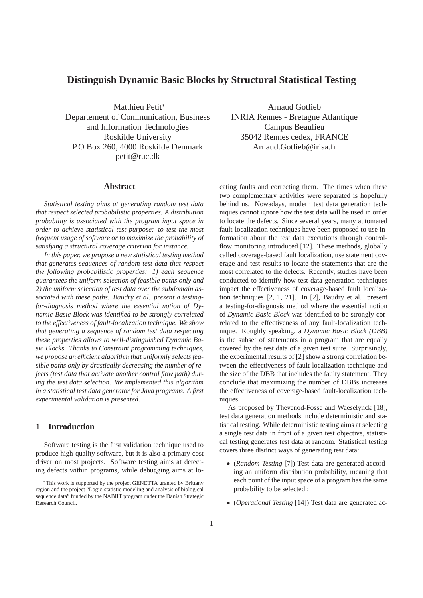# **Distinguish Dynamic Basic Blocks by Structural Statistical Testing**

Matthieu Petit<sup>∗</sup> Departement of Communication, Business and Information Technologies Roskilde University P.O Box 260, 4000 Roskilde Denmark petit@ruc.dk

### **Abstract**

*Statistical testing aims at generating random test data that respect selected probabilistic properties. A distribution probability is associated with the program input space in order to achieve statistical test purpose: to test the most frequent usage of software or to maximize the probability of satisfying a structural coverage criterion for instance.*

*In this paper, we propose a new statistical testing method that generates sequences of random test data that respect the following probabilistic properties: 1) each sequence guarantees the uniform selection of feasible paths only and 2) the uniform selection of test data over the subdomain associated with these paths. Baudry et al. present a testingfor-diagnosis method where the essential notion of Dynamic Basic Block was identified to be strongly correlated to the effectiveness of fault-localization technique. We show that generating a sequence of random test data respecting these properties allows to well-distinguished Dynamic Basic Blocks. Thanks to Constraint programming techniques, we propose an efficient algorithm that uniformly selects feasible paths only by drastically decreasing the number of rejects (test data that activate another control flow path) during the test data selection. We implemented this algorithm in a statistical test data generator for Java programs. A first experimental validation is presented.*

# **1 Introduction**

Software testing is the first validation technique used to produce high-quality software, but it is also a primary cost driver on most projects. Software testing aims at detecting defects within programs, while debugging aims at lo-

Arnaud Gotlieb INRIA Rennes - Bretagne Atlantique Campus Beaulieu 35042 Rennes cedex, FRANCE Arnaud.Gotlieb@irisa.fr

cating faults and correcting them. The times when these two complementary activities were separated is hopefully behind us. Nowadays, modern test data generation techniques cannot ignore how the test data will be used in order to locate the defects. Since several years, many automated fault-localization techniques have been proposed to use information about the test data executions through controlflow monitoring introduced [12]. These methods, globally called coverage-based fault localization, use statement coverage and test results to locate the statements that are the most correlated to the defects. Recently, studies have been conducted to identify how test data generation techniques impact the effectiveness of coverage-based fault localization techniques [2, 1, 21]. In [2], Baudry et al. present a testing-for-diagnosis method where the essential notion of *Dynamic Basic Block* was identified to be strongly correlated to the effectiveness of any fault-localization technique. Roughly speaking, a *Dynamic Basic Block (DBB)* is the subset of statements in a program that are equally covered by the test data of a given test suite. Surprisingly, the experimental results of [2] show a strong correlation between the effectiveness of fault-localization technique and the size of the DBB that includes the faulty statement. They conclude that maximizing the number of DBBs increases the effectiveness of coverage-based fault-localization techniques.

As proposed by Thevenod-Fosse and Waeselynck [18], test data generation methods include deterministic and statistical testing. While deterministic testing aims at selecting a single test data in front of a given test objective, statistical testing generates test data at random. Statistical testing covers three distinct ways of generating test data:

- (*Random Testing* [7]) Test data are generated according an uniform distribution probability, meaning that each point of the input space of a program has the same probability to be selected ;
- (*Operational Testing* [14]) Test data are generated ac-

<sup>∗</sup>This work is supported by the project GENETTA granted by Brittany region and the project "Logic-statistic modeling and analysis of biological sequence data" funded by the NABIIT program under the Danish Strategic Research Council.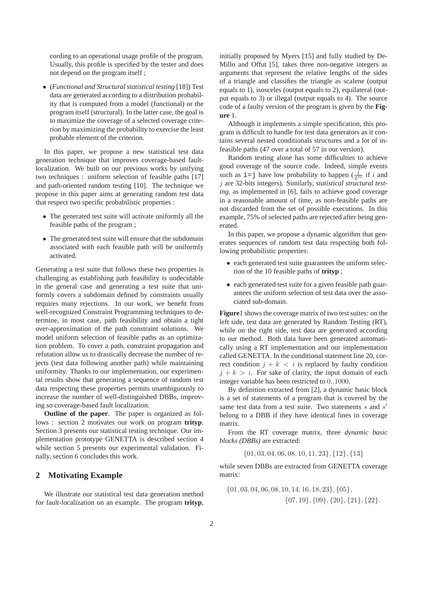cording to an operational usage profile of the program. Usually, this profile is specified by the tester and does not depend on the program itself ;

• (*Functional and Structural statistical testing* [18]) Test data are generated according to a distribution probability that is computed from a model (functional) or the program itself (structural). In the latter case, the goal is to maximize the coverage of a selected coverage criterion by maximizing the probability to exercise the least probable element of the criterion.

In this paper, we propose a new statistical test data generation technique that improves coverage-based faultlocalization. We built on our previous works by unifying two techniques : uniform selection of feasible paths [17] and path-oriented random testing [10]. The technique we propose in this paper aims at generating random test data that respect two specific probabilistic properties :

- The generated test suite will activate uniformly all the feasible paths of the program ;
- The generated test suite will ensure that the subdomain associated with each feasible path will be uniformly activated.

Generating a test suite that follows these two properties is challenging as establishing path feasibility is undecidable in the general case and generating a test suite that uniformly covers a subdomain defined by constraints usually requires many rejections. In our work, we benefit from well-recognized Constraint Programming techniques to determine, in most case, path feasibility and obtain a tight over-approximation of the path constraint solutions. We model uniform selection of feasible paths as an optimization problem. To cover a path, constraint propagation and refutation allow us to drastically decrease the number of rejects (test data following another path) while maintaining uniformity. Thanks to our implementation, our experimental results show that generating a sequence of random test data respecting these properties permits unambiguously to increase the number of well-distinguished DBBs, improving so coverage-based fault localization.

**Outline of the paper**. The paper is organized as follows : section 2 motivates our work on program **trityp**. Section 3 presents our statistical testing technique. Our implementation prototype GENETTA is described section 4 while section 5 presents our experimental validation. Finally, section 6 concludes this work.

### **2 Motivating Example**

We illustrate our statistical test data generation method for fault-localization on an example. The program **trityp**, initially proposed by Myers [15] and fully studied by De-Millo and Offut [5], takes three non-negative integers as arguments that represent the relative lengths of the sides of a triangle and classifies the triangle as scalene (output equals to 1), isosceles (output equals to 2), equilateral (output equals to 3) or illegal (output equals to 4). The source code of a faulty version of the program is given by the **Figure** 1.

Although it implements a simple specification, this program is difficult to handle for test data generators as it contains several nested conditionals structures and a lot of infeasible paths (47 over a total of 57 in our version).

Random testing alone has some difficulties to achieve good coverage of the source code. Indeed, simple events such as  $i = j$  have low probability to happen  $(\frac{1}{2^{32}}$  if i and j are 32-bits integers). Similarly, *statistical structural testing*, as implemented in [6], fails to achieve good coverage in a reasonable amount of time, as non-feasible paths are not discarded from the set of possible executions. In this example, 75% of selected paths are rejected after being generated.

In this paper, we propose a dynamic algorithm that generates sequences of random test data respecting both following probabilistic properties:

- each generated test suite guarantees the uniform selection of the 10 feasible paths of **trityp** ;
- each generated test suite for a given feasible path guarantees the uniform selection of test data over the associated sub-domain.

**Figure**1 shows the coverage matrix of two test suites: on the left side, test data are generated by Random Testing (RT), while on the right side, test data are generated according to our method. Both data have been generated automatically using a RT implementation and our implementation called GENETTA. In the conditional statement line 20, correct condition  $j + k < i$  is replaced by faulty condition  $j + k > i$ . For sake of clarity, the input domain of each integer variable has been restricted to 0..1000.

By definition extracted from [2], a dynamic basic block is a set of statements of a program that is covered by the same test data from a test suite. Two statements s and s' belong to a DBB if they have identical lines in coverage matrix.

From the RT coverage matrix, three *dynamic basic blocks (DBBs)* are extracted:

{01, 03, 04, 06, 08, 10, 11, 23}, {12}, {13}

while seven DBBs are extracted from GENETTA coverage matrix:

 $\{01, 03, 04, 06, 08, 10, 14, 16, 18, 23\}, \{05\},\$ {07, 19}, {09}, {20}, {21}, {22}.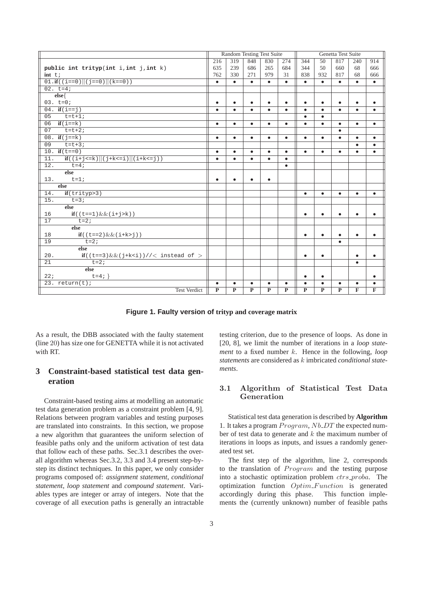|                                                          | Random Testing Test Suite |                |                         |                         |                | Genetta Test Suite |                 |                |              |           |
|----------------------------------------------------------|---------------------------|----------------|-------------------------|-------------------------|----------------|--------------------|-----------------|----------------|--------------|-----------|
|                                                          | $\overline{216}$          | 319            | 848                     | 830                     | 274            | 344                | $\overline{50}$ | 817            | 240          | 914       |
| public int trityp(int i, int j, int k)                   | 635                       | 239            | 686                     | 265                     | 684            | 344                | 50              | 660            | 68           | 666       |
| $int t$ ;                                                | 762                       | 330            | 271                     | 979                     | 31             | 838                | 932             | 817            | 68           | 666       |
| $01 \cdot \textbf{if}((i == 0)  (j == 0)  (k == 0))$     | $\bullet$                 | $\bullet$      | $\bullet$               | $\bullet$               | $\bullet$      | $\bullet$          | $\bullet$       | $\bullet$      | $\bullet$    | $\bullet$ |
| $02. t=4;$                                               |                           |                |                         |                         |                |                    |                 |                |              |           |
| $else{$                                                  |                           |                |                         |                         |                |                    |                 |                |              |           |
| $03. t = 0;$                                             |                           | $\bullet$      | $\bullet$               | $\bullet$               | $\bullet$      | $\bullet$          | $\bullet$       |                |              |           |
| $04.$ if $(i == j)$                                      | $\bullet$                 | $\bullet$      | $\bullet$               | $\bullet$               | $\bullet$      | $\bullet$          | $\bullet$       | $\bullet$      | $\bullet$    | $\bullet$ |
| 05<br>$t=t+1;$                                           |                           |                |                         |                         |                | $\bullet$          | $\bullet$       |                |              |           |
| $if(i == k)$<br>06                                       | $\bullet$                 | $\bullet$      | $\bullet$               | $\bullet$               | $\bullet$      | $\bullet$          | $\bullet$       | $\bullet$      | $\bullet$    | $\bullet$ |
| 07<br>$t=t+2;$                                           |                           |                |                         |                         |                |                    |                 | $\bullet$      |              |           |
| 08. <b>if</b> $(j == k)$                                 | $\bullet$                 | $\bullet$      | $\bullet$               | $\bullet$               | $\bullet$      | $\bullet$          | $\bullet$       | $\bullet$      | $\bullet$    | $\bullet$ |
| $t=t+3;$<br>09                                           |                           |                |                         |                         |                |                    |                 |                | $\bullet$    | $\bullet$ |
| 10. $if(t == 0)$                                         | $\bullet$                 | $\bullet$      | $\bullet$               | $\bullet$               | $\bullet$      | $\bullet$          | $\bullet$       | $\bullet$      | $\bullet$    | $\bullet$ |
| $if((i+j<=k)  (j+k<=i)  (i+k<=j))$<br>11.                | $\bullet$                 | $\bullet$      | $\bullet$               | $\bullet$               | $\bullet$      |                    |                 |                |              |           |
| 12.<br>$t = 4;$                                          |                           |                |                         |                         | $\bullet$      |                    |                 |                |              |           |
| else                                                     |                           |                |                         |                         |                |                    |                 |                |              |           |
| $t=1;$<br>13.                                            | $\bullet$                 | $\bullet$      | $\bullet$               | $\bullet$               |                |                    |                 |                |              |           |
| else                                                     |                           |                |                         |                         |                |                    |                 |                |              |           |
| if(trityp>3)<br>14.                                      |                           |                |                         |                         |                | $\bullet$          | $\bullet$       | $\bullet$      | $\bullet$    | $\bullet$ |
| $t=3;$<br>15.                                            |                           |                |                         |                         |                |                    |                 |                |              |           |
| else                                                     |                           |                |                         |                         |                |                    |                 |                |              |           |
| if( $(t == 1)$ & & $(i + j > k)$ )<br>16                 |                           |                |                         |                         |                | $\bullet$          | ٠               |                | ٠            |           |
| $t=2;$<br>17                                             |                           |                |                         |                         |                |                    |                 |                |              |           |
| else                                                     |                           |                |                         |                         |                |                    |                 |                |              |           |
| if ( $(t == 2)$ & & ( $i + k > j$ ))<br>18               |                           |                |                         |                         |                | $\bullet$          | ٠               |                | ٠            | $\bullet$ |
| $t = 2i$<br>19                                           |                           |                |                         |                         |                |                    |                 | $\bullet$      |              |           |
| else                                                     |                           |                |                         |                         |                |                    |                 |                |              |           |
| if( $(t == 3)$ &&( $j + k < i$ ))//< instead of ><br>20. |                           |                |                         |                         |                | $\bullet$          | $\bullet$       |                | $\bullet$    | $\bullet$ |
| $t=2i$<br>21                                             |                           |                |                         |                         |                |                    |                 |                | $\bullet$    |           |
| else                                                     |                           |                |                         |                         |                |                    |                 |                |              |           |
| 22:<br>$t = 4;$                                          |                           |                |                         |                         |                | $\bullet$          | $\bullet$       |                |              | $\bullet$ |
| 23. $return(t)$ ;                                        | $\bullet$                 | $\bullet$      | $\bullet$               | $\bullet$               | $\bullet$      | $\bullet$          | $\bullet$       | $\bullet$      | ٠            |           |
| <b>Test Verdict</b>                                      | $\overline{P}$            | $\overline{P}$ | $\overline{\mathbf{P}}$ | $\overline{\mathbf{P}}$ | $\overline{P}$ | $\overline{P}$     | $\mathbf{P}$    | $\overline{P}$ | $\mathbf{F}$ | F         |

**Figure 1. Faulty version of trityp and coverage matrix**

As a result, the DBB associated with the faulty statement (line 20) has size one for GENETTA while it is not activated with RT.

# **3 Constraint-based statistical test data generation**

Constraint-based testing aims at modelling an automatic test data generation problem as a constraint problem [4, 9]. Relations between program variables and testing purposes are translated into constraints. In this section, we propose a new algorithm that guarantees the uniform selection of feasible paths only and the uniform activation of test data that follow each of these paths. Sec.3.1 describes the overall algorithm whereas Sec.3.2, 3.3 and 3.4 present step-bystep its distinct techniques. In this paper, we only consider programs composed of: *assignment statement*, *conditional statement*, *loop statement* and *compound statement*. Variables types are integer or array of integers. Note that the coverage of all execution paths is generally an intractable testing criterion, due to the presence of loops. As done in [20, 8], we limit the number of iterations in a *loop statement* to a fixed number k. Hence in the following, *loop statements* are considered as k imbricated *conditional statements*.

## 3.1 Algorithm of Statistical Test Data Generation

Statistical test data generation is described by **Algorithm** 1. It takes a program  $Program, Nb\_DT$  the expected number of test data to generate and  $k$  the maximum number of iterations in loops as inputs, and issues a randomly generated test set.

The first step of the algorithm, line 2, corresponds to the translation of Program and the testing purpose into a stochastic optimization problem ctrs\_proba. The optimization function Optim Function is generated accordingly during this phase. This function implements the (currently unknown) number of feasible paths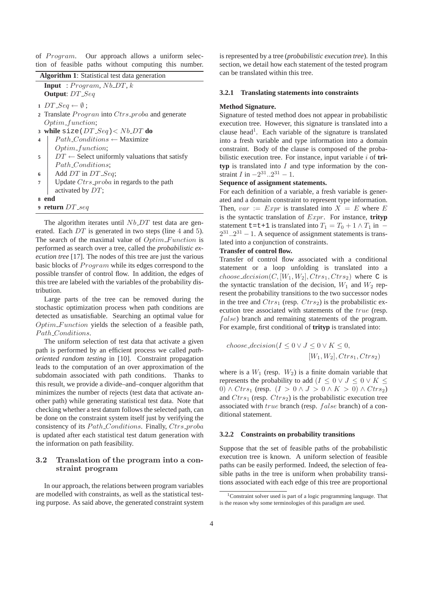of Program. Our approach allows a uniform selection of feasible paths without computing this number.

|                         | <b>Input</b> : Program, Nb <sub>-DT</sub> , k            |
|-------------------------|----------------------------------------------------------|
|                         | <b>Output:</b> DT_Seq                                    |
|                         | $1 DT\_Seq \leftarrow \emptyset$ ;                       |
|                         | 2 Translate <i>Progran</i> into Ctrs_proba and generate  |
|                         | $Optim\_function;$                                       |
|                         | 3 while size ( $DT\_Seq$ ) < $Nb\_DT$ do                 |
| $\overline{\mathbf{4}}$ | $Path\_{Conditions} \leftarrow$ Maximize                 |
|                         | $Optim\_function;$                                       |
| 5                       | $DT \leftarrow$ Select uniformly valuations that satisfy |
|                         | <i>Path_Conditions:</i>                                  |
| 6                       | Add $DT$ in $DT\_Seq$ ;                                  |
| $\overline{7}$          | Update $C$ trs_proba in regards to the path              |
|                         | activated by DT;                                         |
| 8 end                   |                                                          |
|                         | 9 return $DT\_seq$                                       |

The algorithm iterates until  $Nb\_DT$  test data are generated. Each DT is generated in two steps (line 4 and 5). The search of the maximal value of  $Optim\_Function$  is performed as search over a tree, called the *probabilistic execution tree* [17]. The nodes of this tree are just the various basic blocks of Program while its edges correspond to the possible transfer of control flow. In addition, the edges of this tree are labeled with the variables of the probability distribution.

Large parts of the tree can be removed during the stochastic optimization process when path conditions are detected as unsatisfiable. Searching an optimal value for Optim Function yields the selection of a feasible path, Path Conditions.

The uniform selection of test data that activate a given path is performed by an efficient process we called *pathoriented random testing* in [10]. Constraint propagation leads to the computation of an over approximation of the subdomain associated with path conditions. Thanks to this result, we provide a divide–and–conquer algorithm that minimizes the number of rejects (test data that activate another path) while generating statistical test data. Note that checking whether a test datum follows the selected path, can be done on the constraint system itself just by verifying the consistency of its  $Path\_Conditions$ . Finally,  $Ctrs\_proba$ is updated after each statistical test datum generation with the information on path feasibility.

## 3.2 Translation of the program into a constraint program

In our approach, the relations between program variables are modelled with constraints, as well as the statistical testing purpose. As said above, the generated constraint system is represented by a tree (*probabilistic execution tree*). In this section, we detail how each statement of the tested program an be translated within this tree.

## **3.2.1 Translating statements into constraints**

#### **Method Signature.**

Signature of tested method does not appear in probabilistic execution tree. However, this signature is translated into a clause head<sup>1</sup>. Each variable of the signature is translated into a fresh variable and type information into a domain constraint. Body of the clause is composed of the probabilistic execution tree. For instance, input variable i of **tri-** $\mathbf{y}$  is translated into I and type information by the constraint I in  $-2^{31} \cdot .2^{31} - 1$ .

### **Sequence of assignment statements.**

For each definition of a variable, a fresh variable is generted and a domain constraint to represent type information. Then,  $var := Expr$  is translated into  $X = E$  where E the syntactic translation of  $Expr$ . For instance, **trityp** statement t=t+1 is translated into  $T_1 = T_0 + 1 \wedge T_1$  in –  $2^{31} \dots 2^{31} - 1$ . A sequence of assignment statements is translated into a conjunction of constraints.

### **Transfer of control flow.**

Transfer of control flow associated with a conditional statement or a loop unfolding is translated into a choose  $decision(C, [W_1, W_2], Ctrs_1, Ctrs_2)$  where C is the syntactic translation of the decision,  $W_1$  and  $W_2$  represent the probability transitions to the two successor nodes in the tree and  $Ctrs_1$  (resp.  $Ctrs_2$ ) is the probabilistic execution tree associated with statements of the true (resp. false) branch and remaining statements of the program. For example, first conditional of **trityp** is translated into:

$$
choose\_decision (I \le 0 \lor J \le 0 \lor K \le 0,
$$
  
[W<sub>1</sub>, W<sub>2</sub>], *Ctrs<sub>1</sub>, Ctrs<sub>2</sub>)*

where is a  $W_1$  (resp.  $W_2$ ) is a finite domain variable that represents the probability to add ( $I \leq 0 \vee J \leq 0 \vee K \leq$ 0) ∧  $Ctrs_1$  (resp.  $(I > 0 \land J > 0 \land K > 0) \land Ctrs_2$ ) and  $Ctrs<sub>1</sub>$  (resp.  $Ctrs<sub>2</sub>$ ) is the probabilistic execution tree associated with true branch (resp. false branch) of a conditional statement.

#### **3.2.2 Constraints on probability transitions**

Suppose that the set of feasible paths of the probabilistic execution tree is known. A uniform selection of feasible paths can be easily performed. Indeed, the selection of feasible paths in the tree is uniform when probability transitions associated with each edge of this tree are proportional

<sup>1</sup>Constraint solver used is part of a logic programming language. That is the reason why some terminologies of this paradigm are used.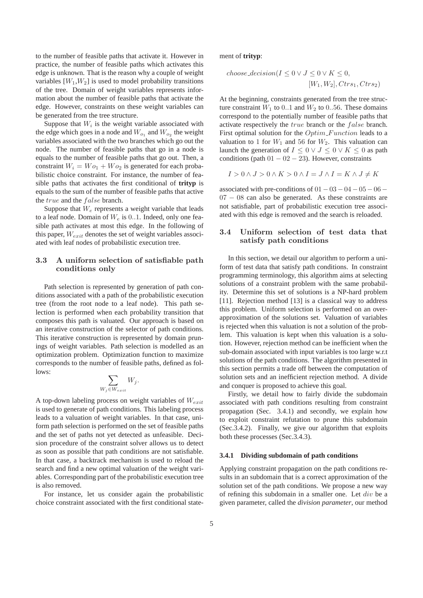to the number of feasible paths that activate it. However in practice, the number of feasible paths which activates this edge is unknown. That is the reason why a couple of weight variables  $[W_1, W_2]$  is used to model probability transitions of the tree. Domain of weight variables represents information about the number of feasible paths that activate the edge. However, constraints on these weight variables can be generated from the tree structure.

Suppose that  $W_i$  is the weight variable associated with the edge which goes in a node and  $W_{o_1}$  and  $W_{o_2}$  the weight variables associated with the two branches which go out the node. The number of feasible paths that go in a node is equals to the number of feasible paths that go out. Then, a constraint  $W_i = Wo_1 + Wo_2$  is generated for each probabilistic choice constraint. For instance, the number of feasible paths that activates the first conditional of **trityp** is equals to the sum of the number of feasible paths that active the true and the false branch.

Suppose that  $W_e$  represents a weight variable that leads to a leaf node. Domain of  $W_e$  is 0..1. Indeed, only one feasible path activates at most this edge. In the following of this paper,  $W_{exit}$  denotes the set of weight variables associated with leaf nodes of probabilistic execution tree.

# 3.3 A uniform selection of satisfiable path conditions only

Path selection is represented by generation of path conditions associated with a path of the probabilistic execution tree (from the root node to a leaf node). This path selection is performed when each probability transition that composes this path is valuated. Our approach is based on an iterative construction of the selector of path conditions. This iterative construction is represented by domain prunings of weight variables. Path selection is modelled as an optimization problem. Optimization function to maximize corresponds to the number of feasible paths, defined as follows:

$$
\sum_{W_j \in W_{exit}} W_j.
$$

A top-down labeling process on weight variables of  $W_{exit}$ is used to generate of path conditions. This labeling process leads to a valuation of weight variables. In that case, uniform path selection is performed on the set of feasible paths and the set of paths not yet detected as unfeasible. Decision procedure of the constraint solver allows us to detect as soon as possible that path conditions are not satisfiable. In that case, a backtrack mechanism is used to reload the search and find a new optimal valuation of the weight variables. Corresponding part of the probabilistic execution tree is also removed.

For instance, let us consider again the probabilistic choice constraint associated with the first conditional statement of **trityp**:

$$
choose\_decision (I \le 0 \lor J \le 0 \lor K \le 0,
$$
  
[W<sub>1</sub>, W<sub>2</sub>], Ctrs<sub>1</sub>, Ctrs<sub>2</sub>)

At the beginning, constraints generated from the tree structure constraint  $W_1$  to 0..1 and  $W_2$  to 0..56. These domains correspond to the potentially number of feasible paths that activate respectively the true branch or the false branch. First optimal solution for the *Optim\_Function* leads to a valuation to 1 for  $W_1$  and 56 for  $W_2$ . This valuation can launch the generation of  $I \leq 0 \vee J \leq 0 \vee K \leq 0$  as path conditions (path  $01 - 02 - 23$ ). However, constraints

$$
I > 0 \land J > 0 \land K > 0 \land I = J \land I = K \land J \neq K
$$

associated with pre-conditions of  $01-03-04-05-06-$ 07 – 08 can also be generated. As these constraints are not satisfiable, part of probabilistic execution tree associated with this edge is removed and the search is reloaded.

## 3.4 Uniform selection of test data that satisfy path conditions

In this section, we detail our algorithm to perform a uniform of test data that satisfy path conditions. In constraint programming terminology, this algorithm aims at selecting solutions of a constraint problem with the same probability. Determine this set of solutions is a NP-hard problem [11]. Rejection method [13] is a classical way to address this problem. Uniform selection is performed on an overapproximation of the solutions set. Valuation of variables is rejected when this valuation is not a solution of the problem. This valuation is kept when this valuation is a solution. However, rejection method can be inefficient when the sub-domain associated with input variables is too large w.r.t solutions of the path conditions. The algorithm presented in this section permits a trade off between the computation of solution sets and an inefficient rejection method. A divide and conquer is proposed to achieve this goal.

Firstly, we detail how to fairly divide the subdomain associated with path conditions resulting from constraint propagation (Sec. 3.4.1) and secondly, we explain how to exploit constraint refutation to prune this subdomain (Sec.3.4.2). Finally, we give our algorithm that exploits both these processes (Sec.3.4.3).

#### **3.4.1 Dividing subdomain of path conditions**

Applying constraint propagation on the path conditions results in an subdomain that is a correct approximation of the solution set of the path conditions. We propose a new way of refining this subdomain in a smaller one. Let div be a given parameter, called the *division parameter*, our method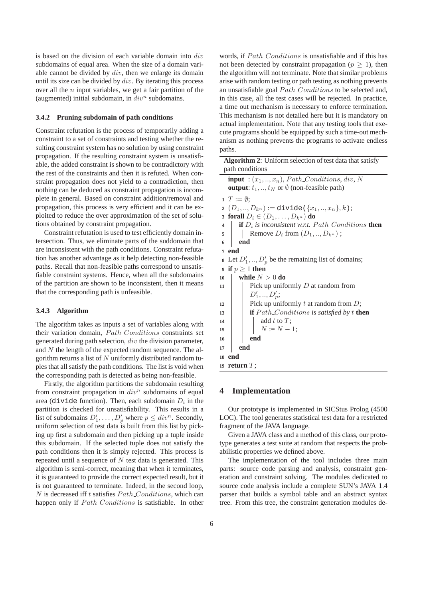is based on the division of each variable domain into div subdomains of equal area. When the size of a domain variable cannot be divided by  $div$ , then we enlarge its domain until its size can be divided by  $div$ . By iterating this process over all the  $n$  input variables, we get a fair partition of the (augmented) initial subdomain, in  $div^n$  subdomains.

### **3.4.2 Pruning subdomain of path conditions**

Constraint refutation is the process of temporarily adding a constraint to a set of constraints and testing whether the resulting constraint system has no solution by using constraint propagation. If the resulting constraint system is unsatisfiable, the added constraint is shown to be contradictory with the rest of the constraints and then it is refuted. When constraint propagation does not yield to a contradiction, then nothing can be deduced as constraint propagation is incomplete in general. Based on constraint addition/removal and propagation, this process is very efficient and it can be exploited to reduce the over approximation of the set of solutions obtained by constraint propagation.

Constraint refutation is used to test efficiently domain intersection. Thus, we eliminate parts of the suddomain that are inconsistent with the path conditions. Constraint refutation has another advantage as it help detecting non-feasible paths. Recall that non-feasible paths correspond to unsatisfiable constraint systems. Hence, when all the subdomains of the partition are shown to be inconsistent, then it means that the corresponding path is unfeasible.

#### **3.4.3 Algorithm**

The algorithm takes as inputs a set of variables along with their variation domain, Path Conditions constraints set generated during path selection,  $div$  the division parameter. and N the length of the expected random sequence. The algorithm returns a list of  $N$  uniformly distributed random tuples that all satisfy the path conditions. The list is void when the corresponding path is detected as being non-feasible.

Firstly, the algorithm partitions the subdomain resulting from constraint propagation in  $div^n$  subdomains of equal area (divide function). Then, each subdomain  $D_i$  in the partition is checked for unsatisfiability. This results in a list of subdomains  $D'_1, \ldots, D'_p$  where  $p \leq div^n$ . Secondly, uniform selection of test data is built from this list by picking up first a subdomain and then picking up a tuple inside this subdomain. If the selected tuple does not satisfy the path conditions then it is simply rejected. This process is repeated until a sequence of  $N$  test data is generated. This algorithm is semi-correct, meaning that when it terminates, it is guaranteed to provide the correct expected result, but it is not guaranteed to terminate. Indeed, in the second loop, N is decreased iff t satisfies  $Path\_Conditions$ , which can happen only if  $Path\_Conditions$  is satisfiable. In other words, if  $Path\_Conditions$  is unsatisfiable and if this has not been detected by constraint propagation ( $p > 1$ ), then the algorithm will not terminate. Note that similar problems arise with random testing or path testing as nothing prevents an unsatisfiable goal  $Path\_Conditions$  to be selected and, in this case, all the test cases will be rejected. In practice, a time out mechanism is necessary to enforce termination. This mechanism is not detailed here but it is mandatory on actual implementation. Note that any testing tools that execute programs should be equipped by such a time-out mechanism as nothing prevents the programs to activate endless paths.

| <b>Algorithm 2:</b> Uniform selection of test data that satisfy                 |
|---------------------------------------------------------------------------------|
| path conditions                                                                 |
| <b>input</b> : $(x_1, , x_n)$ , Path_Conditions, div, N                         |
| <b>output:</b> $t_1, , t_N$ or $\emptyset$ (non-feasible path)                  |
| $T := \emptyset$ :                                                              |
| 2 $(D_1, , D_{k^n}) := \text{divide}(\{x_1, , x_n\}, k);$                       |
| 3 forall $D_i \in (D_1, \ldots, D_{k^n})$ do                                    |
| if $D_i$ is inconsistent w.r.t. Path_Conditions then<br>$\overline{\mathbf{4}}$ |
| Remove $D_i$ from $(D_1, , D_{k^n})$ ;<br>5                                     |
| end<br>6                                                                        |
| end<br>$\overline{7}$                                                           |
| 8 Let $D'_1, , D'_p$ be the remaining list of domains;                          |
| 9 if $p \geq 1$ then                                                            |
| while $N > 0$ do<br>10                                                          |
| Pick up uniformly $D$ at random from<br>11                                      |
| $D'_1, , D'_p;$                                                                 |
| Pick up uniformly $t$ at random from $D$ ;<br>12                                |
| <b>if</b> $Path\_Conditions$ is satisfied by t <b>then</b><br>13                |
| 14                                                                              |
| add t to T;<br>$N := N - 1$ ;<br>15                                             |
| end<br>16                                                                       |
| end<br>17                                                                       |
| <b>18</b> end                                                                   |
| 19 return $T$ ;                                                                 |

## **4 Implementation**

Our prototype is implemented in SICStus Prolog (4500 LOC). The tool generates statistical test data for a restricted fragment of the JAVA language.

Given a JAVA class and a method of this class, our prototype generates a test suite at random that respects the probabilistic properties we defined above.

The implementation of the tool includes three main parts: source code parsing and analysis, constraint generation and constraint solving. The modules dedicated to source code analysis include a complete SUN's JAVA 1.4 parser that builds a symbol table and an abstract syntax tree. From this tree, the constraint generation modules de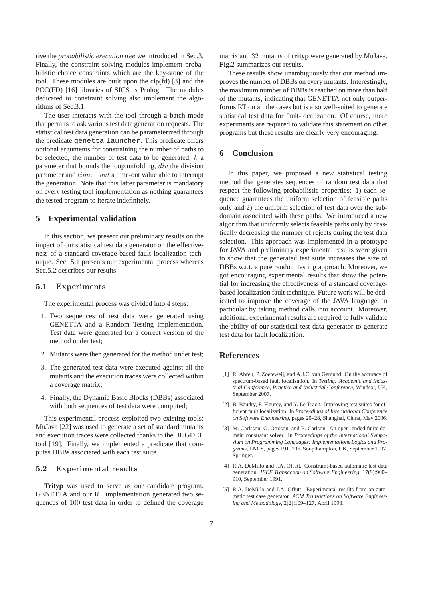rive the *probabilistic execution tree* we introduced in Sec.3. Finally, the constraint solving modules implement probabilistic choice constraints which are the key-stone of the tool. These modules are built upon the clp(fd) [3] and the PCC(FD) [16] libraries of SICStus Prolog. The modules dedicated to constraint solving also implement the algorithms of Sec.3.1.

The user interacts with the tool through a batch mode that permits to ask various test data generation requests. The statistical test data generation can be parameterized through the predicate genetta launcher. This predicate offers optional arguments for constraining the number of paths to be selected, the number of test data to be generated,  $k$  a parameter that bounds the loop unfolding, div the division parameter and time−out a time-out value able to interrupt the generation. Note that this latter parameter is mandatory on every testing tool implementation as nothing guarantees the tested program to iterate indefinitely.

## **5 Experimental validation**

In this section, we present our preliminary results on the impact of our statistical test data generator on the effectiveness of a standard coverage-based fault localization technique. Sec. 5.1 presents our experimental process whereas Sec.5.2 describes our results.

### 5.1 Experiments

The experimental process was divided into 4 steps:

- 1. Two sequences of test data were generated using GENETTA and a Random Testing implementation. Test data were generated for a correct version of the method under test;
- 2. Mutants were then generated for the method under test;
- 3. The generated test data were executed against all the mutants and the execution traces were collected within a coverage matrix;
- 4. Finally, the Dynamic Basic Blocks (DBBs) associated with both sequences of test data were computed;

This experimental process exploited two existing tools: MuJava [22] was used to generate a set of standard mutants and execution traces were collected thanks to the BUGDEL tool [19]. Finally, we implemented a predicate that computes DBBs associated with each test suite.

### 5.2 Experimental results

**Trityp** was used to serve as our candidate program. GENETTA and our RT implementation generated two sequences of 100 test data in order to defined the coverage matrix and 32 mutants of **trityp** were generated by MuJava. **Fig.**2 summarizes our results.

These results show unambiguously that our method improves the number of DBBs on every mutants. Interestingly, the maximum number of DBBs is reached on more than half of the mutants, indicating that GENETTA not only outperforms RT on all the cases but is also well-suited to generate statistical test data for fault-localization. Of course, more experiments are required to validate this statement on other programs but these results are clearly very encouraging.

# **6 Conclusion**

In this paper, we proposed a new statistical testing method that generates sequences of random test data that respect the following probabilistic properties: 1) each sequence guarantees the uniform selection of feasible paths only and 2) the uniform selection of test data over the subdomain associated with these paths. We introduced a new algorithm that uniformly selects feasible paths only by drastically decreasing the number of rejects during the test data selection. This approach was implemented in a prototype for JAVA and preliminary experimental results were given to show that the generated test suite increases the size of DBBs w.r.t. a pure random testing approach. Moreover, we got encouraging experimental results that show the potential for increasing the effectiveness of a standard coveragebased localization fault technique. Future work will be dedicated to improve the coverage of the JAVA language, in particular by taking method calls into account. Moreover, additional experimental results are required to fully validate the ability of our statistical test data generator to generate test data for fault localization.

# **References**

- [1] R. Abreu, P. Zoeteweij, and A.J.C. van Gemund. On the accuracy of spectrum-based fault localization. In *Testing: Academic and Industrial Conference, Practice and Industrial Conference*, Windsor, UK, September 2007.
- [2] B. Baudry, F. Fleurey, and Y. Le Traon. Improving test suites for efficient fault localization. In *Proceedings of International Conference on Software Engineering*, pages 20–28, Shanghai, China, May 2006.
- [3] M. Carlsson, G. Ottoson, and B. Carlson. An open–ended finite domain constraint solver. In *Proceedings of the International Symposium on Programming Languages: Implementations Logics and Programs*, LNCS, pages 191–206, Soupthampton, UK, September 1997. Springer.
- [4] R.A. DeMillo and J.A. Offutt. Constraint-based automatic test data generation. *IEEE Transaction on Software Engineering*, 17(9):900– 910, September 1991.
- [5] R.A. DeMillo and J.A. Offutt. Experimental results from an automatic test case generator. *ACM Transactions on Software Engineering and Methodology*, 2(2):109–127, April 1993.